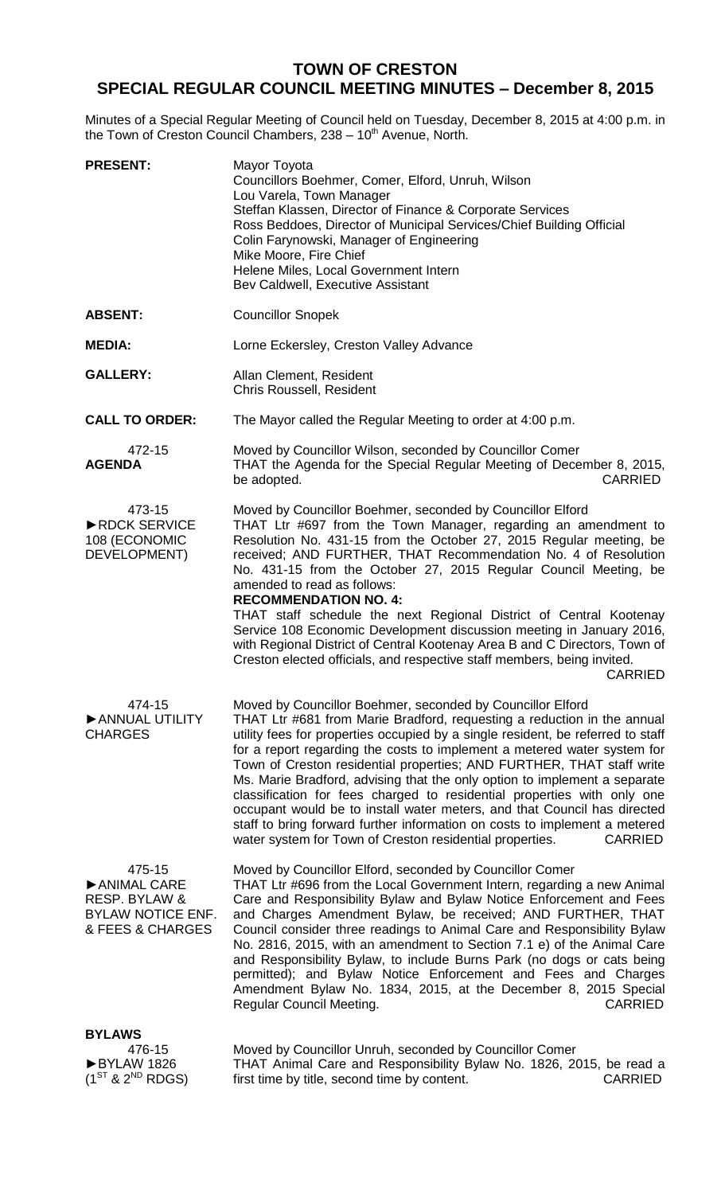## **TOWN OF CRESTON SPECIAL REGULAR COUNCIL MEETING MINUTES – December 8, 2015**

Minutes of a Special Regular Meeting of Council held on Tuesday, December 8, 2015 at 4:00 p.m. in the Town of Creston Council Chambers, 238 - 10<sup>th</sup> Avenue, North.

| <b>PRESENT:</b>                                                                        | Mayor Toyota<br>Councillors Boehmer, Comer, Elford, Unruh, Wilson<br>Lou Varela, Town Manager<br>Steffan Klassen, Director of Finance & Corporate Services<br>Ross Beddoes, Director of Municipal Services/Chief Building Official<br>Colin Farynowski, Manager of Engineering<br>Mike Moore, Fire Chief<br>Helene Miles, Local Government Intern<br>Bev Caldwell, Executive Assistant                                                                                                                                                                                                                                                                                                                                                                                        |
|----------------------------------------------------------------------------------------|-------------------------------------------------------------------------------------------------------------------------------------------------------------------------------------------------------------------------------------------------------------------------------------------------------------------------------------------------------------------------------------------------------------------------------------------------------------------------------------------------------------------------------------------------------------------------------------------------------------------------------------------------------------------------------------------------------------------------------------------------------------------------------|
| <b>ABSENT:</b>                                                                         | <b>Councillor Snopek</b>                                                                                                                                                                                                                                                                                                                                                                                                                                                                                                                                                                                                                                                                                                                                                      |
| <b>MEDIA:</b>                                                                          | Lorne Eckersley, Creston Valley Advance                                                                                                                                                                                                                                                                                                                                                                                                                                                                                                                                                                                                                                                                                                                                       |
| <b>GALLERY:</b>                                                                        | Allan Clement, Resident<br>Chris Roussell, Resident                                                                                                                                                                                                                                                                                                                                                                                                                                                                                                                                                                                                                                                                                                                           |
| <b>CALL TO ORDER:</b>                                                                  | The Mayor called the Regular Meeting to order at 4:00 p.m.                                                                                                                                                                                                                                                                                                                                                                                                                                                                                                                                                                                                                                                                                                                    |
| 472-15<br><b>AGENDA</b>                                                                | Moved by Councillor Wilson, seconded by Councillor Comer<br>THAT the Agenda for the Special Regular Meeting of December 8, 2015,<br>be adopted.<br><b>CARRIED</b>                                                                                                                                                                                                                                                                                                                                                                                                                                                                                                                                                                                                             |
| 473-15<br>▶ RDCK SERVICE<br>108 (ECONOMIC<br>DEVELOPMENT)                              | Moved by Councillor Boehmer, seconded by Councillor Elford<br>THAT Ltr #697 from the Town Manager, regarding an amendment to<br>Resolution No. 431-15 from the October 27, 2015 Regular meeting, be<br>received; AND FURTHER, THAT Recommendation No. 4 of Resolution<br>No. 431-15 from the October 27, 2015 Regular Council Meeting, be<br>amended to read as follows:<br><b>RECOMMENDATION NO. 4:</b><br>THAT staff schedule the next Regional District of Central Kootenay<br>Service 108 Economic Development discussion meeting in January 2016,<br>with Regional District of Central Kootenay Area B and C Directors, Town of<br>Creston elected officials, and respective staff members, being invited.<br><b>CARRIED</b>                                             |
| 474-15<br>ANNUAL UTILITY<br><b>CHARGES</b>                                             | Moved by Councillor Boehmer, seconded by Councillor Elford<br>THAT Ltr #681 from Marie Bradford, requesting a reduction in the annual<br>utility fees for properties occupied by a single resident, be referred to staff<br>for a report regarding the costs to implement a metered water system for<br>Town of Creston residential properties; AND FURTHER, THAT staff write<br>Ms. Marie Bradford, advising that the only option to implement a separate<br>classification for fees charged to residential properties with only one<br>occupant would be to install water meters, and that Council has directed<br>staff to bring forward further information on costs to implement a metered<br>water system for Town of Creston residential properties.<br><b>CARRIED</b> |
| 475-15<br>ANIMAL CARE<br>RESP. BYLAW &<br><b>BYLAW NOTICE ENF.</b><br>& FEES & CHARGES | Moved by Councillor Elford, seconded by Councillor Comer<br>THAT Ltr #696 from the Local Government Intern, regarding a new Animal<br>Care and Responsibility Bylaw and Bylaw Notice Enforcement and Fees<br>and Charges Amendment Bylaw, be received; AND FURTHER, THAT<br>Council consider three readings to Animal Care and Responsibility Bylaw<br>No. 2816, 2015, with an amendment to Section 7.1 e) of the Animal Care<br>and Responsibility Bylaw, to include Burns Park (no dogs or cats being<br>permitted); and Bylaw Notice Enforcement and Fees and Charges<br>Amendment Bylaw No. 1834, 2015, at the December 8, 2015 Special<br><b>CARRIED</b><br>Regular Council Meeting.                                                                                     |
| <b>BYLAWS</b><br>476-15<br>BYLAW 1826<br>$(1^{ST}$ & $2^{ND}$ RDGS)                    | Moved by Councillor Unruh, seconded by Councillor Comer<br>THAT Animal Care and Responsibility Bylaw No. 1826, 2015, be read a<br>first time by title, second time by content.<br><b>CARRIED</b>                                                                                                                                                                                                                                                                                                                                                                                                                                                                                                                                                                              |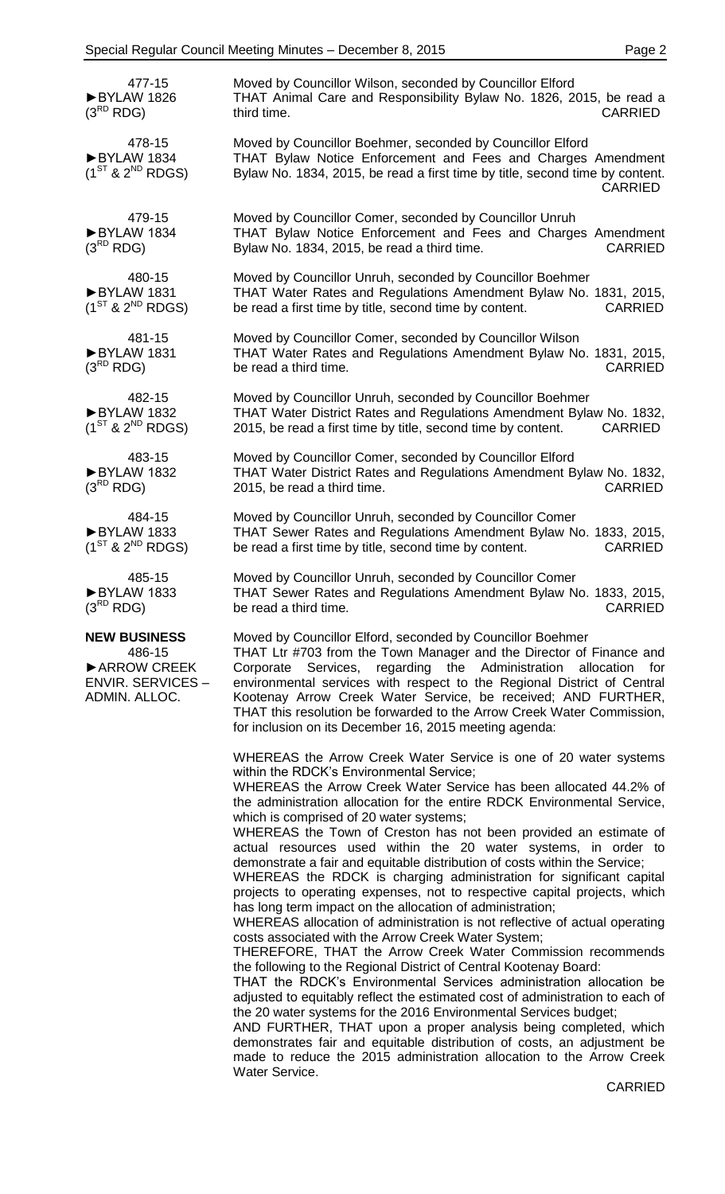| 477-15<br>BYLAW 1826<br>$(3^{RD}$ RDG)                                                    | Moved by Councillor Wilson, seconded by Councillor Elford<br>THAT Animal Care and Responsibility Bylaw No. 1826, 2015, be read a<br>third time.<br><b>CARRIED</b>                                                                                                                                                                                                                                                                                                                                                                                                                                                                                                                                                                                                                                                                                                                                                                                                                                                                                                                                                                                                                                                                                                                                                                                                                                                                                                                          |
|-------------------------------------------------------------------------------------------|--------------------------------------------------------------------------------------------------------------------------------------------------------------------------------------------------------------------------------------------------------------------------------------------------------------------------------------------------------------------------------------------------------------------------------------------------------------------------------------------------------------------------------------------------------------------------------------------------------------------------------------------------------------------------------------------------------------------------------------------------------------------------------------------------------------------------------------------------------------------------------------------------------------------------------------------------------------------------------------------------------------------------------------------------------------------------------------------------------------------------------------------------------------------------------------------------------------------------------------------------------------------------------------------------------------------------------------------------------------------------------------------------------------------------------------------------------------------------------------------|
| 478-15<br>BYLAW 1834<br>$(1^{ST}$ & $2^{ND}$ RDGS)                                        | Moved by Councillor Boehmer, seconded by Councillor Elford<br>THAT Bylaw Notice Enforcement and Fees and Charges Amendment<br>Bylaw No. 1834, 2015, be read a first time by title, second time by content.<br><b>CARRIED</b>                                                                                                                                                                                                                                                                                                                                                                                                                                                                                                                                                                                                                                                                                                                                                                                                                                                                                                                                                                                                                                                                                                                                                                                                                                                               |
| 479-15<br>BYLAW 1834<br>$(3^{RD}$ RDG)                                                    | Moved by Councillor Comer, seconded by Councillor Unruh<br>THAT Bylaw Notice Enforcement and Fees and Charges Amendment<br>Bylaw No. 1834, 2015, be read a third time.<br><b>CARRIED</b>                                                                                                                                                                                                                                                                                                                                                                                                                                                                                                                                                                                                                                                                                                                                                                                                                                                                                                                                                                                                                                                                                                                                                                                                                                                                                                   |
| 480-15<br>BYLAW 1831<br>$(1^{ST}$ & $2^{ND}$ RDGS)                                        | Moved by Councillor Unruh, seconded by Councillor Boehmer<br>THAT Water Rates and Regulations Amendment Bylaw No. 1831, 2015,<br>be read a first time by title, second time by content.<br><b>CARRIED</b>                                                                                                                                                                                                                                                                                                                                                                                                                                                                                                                                                                                                                                                                                                                                                                                                                                                                                                                                                                                                                                                                                                                                                                                                                                                                                  |
| 481-15<br>BYLAW 1831<br>$(3^{RD}$ RDG)                                                    | Moved by Councillor Comer, seconded by Councillor Wilson<br>THAT Water Rates and Regulations Amendment Bylaw No. 1831, 2015,<br>be read a third time.<br><b>CARRIED</b>                                                                                                                                                                                                                                                                                                                                                                                                                                                                                                                                                                                                                                                                                                                                                                                                                                                                                                                                                                                                                                                                                                                                                                                                                                                                                                                    |
| 482-15<br>BYLAW 1832<br>$(1^{ST}$ & $2^{ND}$ RDGS)                                        | Moved by Councillor Unruh, seconded by Councillor Boehmer<br>THAT Water District Rates and Regulations Amendment Bylaw No. 1832,<br>2015, be read a first time by title, second time by content.<br><b>CARRIED</b>                                                                                                                                                                                                                                                                                                                                                                                                                                                                                                                                                                                                                                                                                                                                                                                                                                                                                                                                                                                                                                                                                                                                                                                                                                                                         |
| 483-15<br>BYLAW 1832<br>$(3^{RD}$ RDG)                                                    | Moved by Councillor Comer, seconded by Councillor Elford<br>THAT Water District Rates and Regulations Amendment Bylaw No. 1832,<br>2015, be read a third time.<br><b>CARRIED</b>                                                                                                                                                                                                                                                                                                                                                                                                                                                                                                                                                                                                                                                                                                                                                                                                                                                                                                                                                                                                                                                                                                                                                                                                                                                                                                           |
| 484-15<br>BYLAW 1833<br>$(1^{ST}$ & $2^{ND}$ RDGS)                                        | Moved by Councillor Unruh, seconded by Councillor Comer<br>THAT Sewer Rates and Regulations Amendment Bylaw No. 1833, 2015,<br>be read a first time by title, second time by content.<br><b>CARRIED</b>                                                                                                                                                                                                                                                                                                                                                                                                                                                                                                                                                                                                                                                                                                                                                                                                                                                                                                                                                                                                                                                                                                                                                                                                                                                                                    |
| 485-15<br>BYLAW 1833<br>$(3^{RD}$ RDG)                                                    | Moved by Councillor Unruh, seconded by Councillor Comer<br>THAT Sewer Rates and Regulations Amendment Bylaw No. 1833, 2015,<br>be read a third time.<br>CARRIED                                                                                                                                                                                                                                                                                                                                                                                                                                                                                                                                                                                                                                                                                                                                                                                                                                                                                                                                                                                                                                                                                                                                                                                                                                                                                                                            |
| <b>NEW BUSINESS</b><br>486-15<br>ARROW CREEK<br><b>ENVIR. SERVICES -</b><br>ADMIN. ALLOC. | Moved by Councillor Elford, seconded by Councillor Boehmer<br>THAT Ltr #703 from the Town Manager and the Director of Finance and<br>Corporate Services, regarding the Administration allocation for<br>environmental services with respect to the Regional District of Central<br>Kootenay Arrow Creek Water Service, be received; AND FURTHER,<br>THAT this resolution be forwarded to the Arrow Creek Water Commission,<br>for inclusion on its December 16, 2015 meeting agenda:                                                                                                                                                                                                                                                                                                                                                                                                                                                                                                                                                                                                                                                                                                                                                                                                                                                                                                                                                                                                       |
|                                                                                           | WHEREAS the Arrow Creek Water Service is one of 20 water systems<br>within the RDCK's Environmental Service;<br>WHEREAS the Arrow Creek Water Service has been allocated 44.2% of<br>the administration allocation for the entire RDCK Environmental Service,<br>which is comprised of 20 water systems;<br>WHEREAS the Town of Creston has not been provided an estimate of<br>actual resources used within the 20 water systems, in order to<br>demonstrate a fair and equitable distribution of costs within the Service;<br>WHEREAS the RDCK is charging administration for significant capital<br>projects to operating expenses, not to respective capital projects, which<br>has long term impact on the allocation of administration;<br>WHEREAS allocation of administration is not reflective of actual operating<br>costs associated with the Arrow Creek Water System;<br>THEREFORE, THAT the Arrow Creek Water Commission recommends<br>the following to the Regional District of Central Kootenay Board:<br>THAT the RDCK's Environmental Services administration allocation be<br>adjusted to equitably reflect the estimated cost of administration to each of<br>the 20 water systems for the 2016 Environmental Services budget;<br>AND FURTHER, THAT upon a proper analysis being completed, which<br>demonstrates fair and equitable distribution of costs, an adjustment be<br>made to reduce the 2015 administration allocation to the Arrow Creek<br>Water Service. |